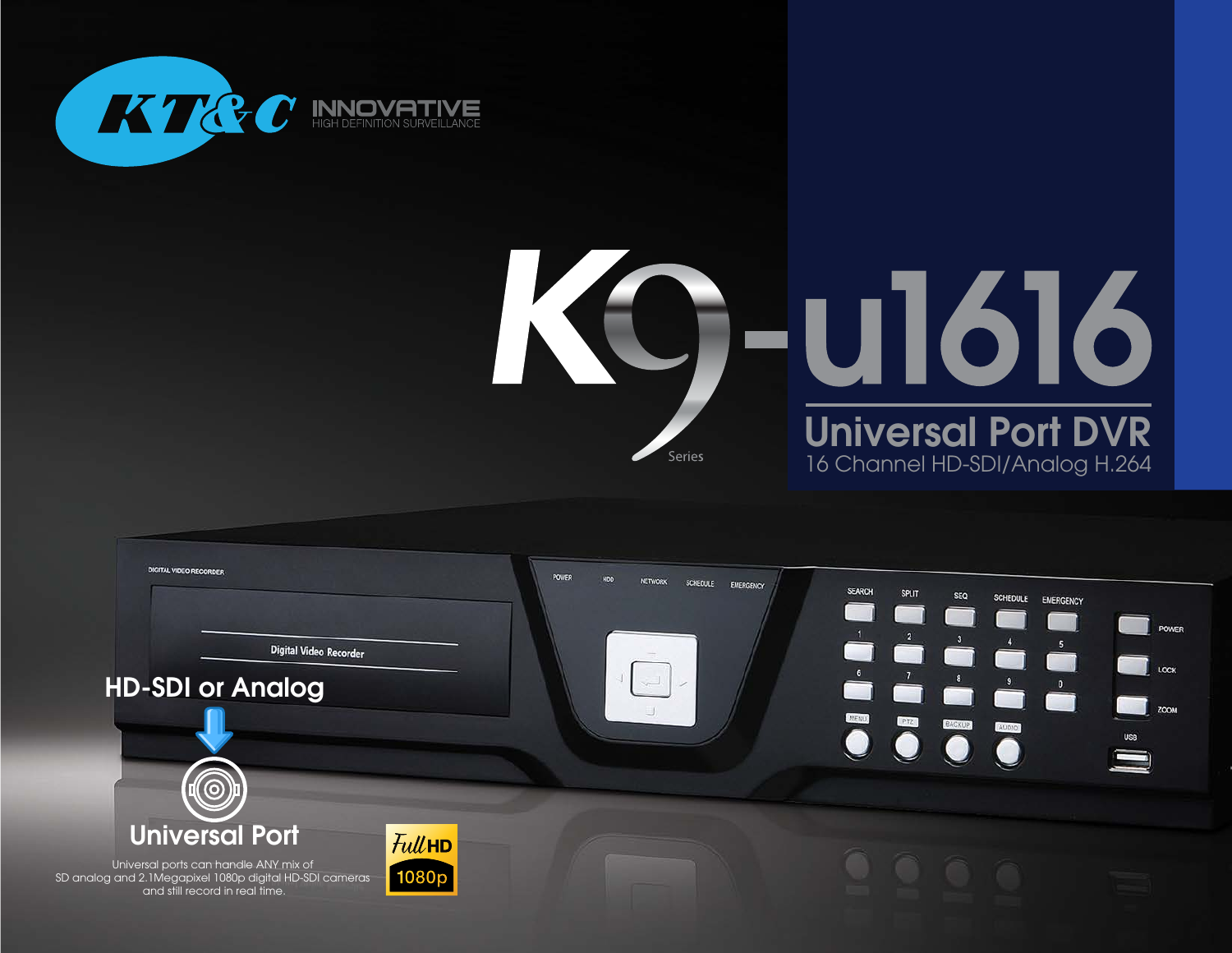





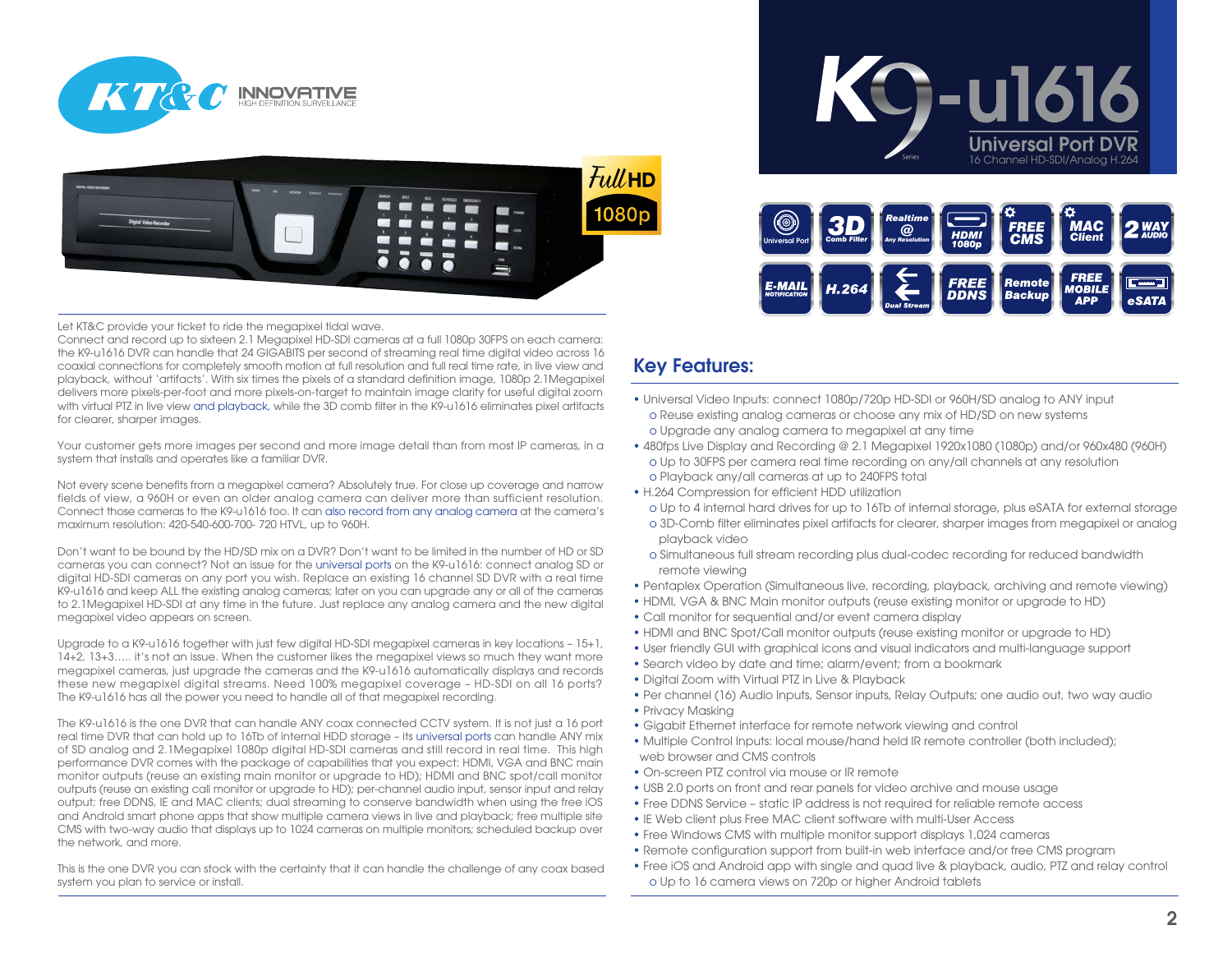



Let KT&C provide your ticket to ride the megapixel tidal wave.

Connect and record up to sixteen 2.1 Megapixel HD-SDI cameras at a full 1080p 30FPS on each camera: the K9-u1616 DVR can handle that 24 GIGABITS per second of streaming real time digital video across 16 coaxial connections for completely smooth motion at full resolution and full real time rate, in live view and playback, without 'artifacts'. With six times the pixels of a standard definition image, 1080p 2.1Megapixel delivers more pixels-per-foot and more pixels-on-target to maintain image clarity for useful digital zoom with virtual PTZ in live view and playback, while the 3D comb filter in the K9-u1616 eliminates pixel artifacts for clearer, sharper images.

Your customer gets more images per second and more image detail than from most IP cameras, in a system that installs and operates like a familiar DVR.

Not every scene benefits from a megapixel camera? Absolutely true. For close up coverage and narrow fields of view, a 960H or even an older analog camera can deliver more than sufficient resolution. Connect those cameras to the K9-u1616 too. It can also record from any analog camera at the camera's maximum resolution: 420-540-600-700- 720 HTVL, up to 960H.

Don't want to be bound by the HD/SD mix on a DVR? Don't want to be limited in the number of HD or SD cameras you can connect? Not an issue for the universal ports on the K9-u1616: connect analog SD or digital HD-SDI cameras on any port you wish. Replace an existing 16 channel SD DVR with a real time K9-u1616 and keep ALL the existing analog cameras; later on you can upgrade any or all of the cameras to 2.1Megapixel HD-SDI at any time in the future. Just replace any analog camera and the new digital megapixel video appears on screen.

Upgrade to a K9-u1616 together with just few digital HD-SDI megapixel cameras in key locations – 15+1, 14+2, 13+3….. it's not an issue. When the customer likes the megapixel views so much they want more megapixel cameras, just upgrade the cameras and the K9-u1616 automatically displays and records these new megapixel digital streams. Need 100% megapixel coverage – HD-SDI on all 16 ports? The K9-u1616 has all the power you need to handle all of that megapixel recording.

The K9-u1616 is the one DVR that can handle ANY coax connected CCTV system. It is not just a 16 port real time DVR that can hold up to 16Tb of internal HDD storage – its universal ports can handle ANY mix of SD analog and 2.1Megapixel 1080p digital HD-SDI cameras and still record in real time. This high performance DVR comes with the package of capabilities that you expect: HDMI, VGA and BNC main monitor outputs (reuse an existing main monitor or upgrade to HD); HDMI and BNC spot/call monitor outputs (reuse an existing call monitor or upgrade to HD); per-channel audio input, sensor input and relay output; free DDNS, IE and MAC clients; dual streaming to conserve bandwidth when using the free iOS and Android smart phone apps that show multiple camera views in live and playback; free multiple site CMS with two-way audio that displays up to 1024 cameras on multiple monitors; scheduled backup over the network, and more.

This is the one DVR you can stock with the certainty that it can handle the challenge of any coax based system you plan to service or install.

## Key Features:

• Universal Video Inputs: connect 1080p/720p HD-SDI or 960H/SD analog to ANY input o Reuse existing analog cameras or choose any mix of HD/SD on new systems o Upgrade any analog camera to megapixel at any time

*3D*

- 480fps Live Display and Recording @ 2.1 Megapixel 1920x1080 (1080p) and/or 960x480 (960H) o Up to 30FPS per camera real time recording on any/all channels at any resolution o Playback any/all cameras at up to 240FPS total
- H.264 Compression for efficient HDD utilization

E-MAII

o Up to 4 internal hard drives for up to 16Tb of internal storage, plus eSATA for external storage

Universal Port **Comb Filter Any Resolution FILM COMB CMS Client** 

FREE

DDNS

Universal

**KG-u1616** 

*FREE CMS*

Remote

**Backup** 

16 Channel HD-SDI/Analog H.264

*MAC*

**FREE** 

MOBILE

**APP** 

eSATA

- o 3D-Comb filter eliminates pixel artifacts for clearer, sharper images from megapixel or analog playback video
- o Simultaneous full stream recording plus dual-codec recording for reduced bandwidth remote viewing
- Pentaplex Operation (Simultaneous live, recording, playback, archiving and remote viewing)
- HDMI, VGA & BNC Main monitor outputs (reuse existing monitor or upgrade to HD)
- Call monitor for sequential and/or event camera display
- HDMI and BNC Spot/Call monitor outputs (reuse existing monitor or upgrade to HD)
- User friendly GUI with graphical icons and visual indicators and multi-language support
- Search video by date and time; alarm/event; from a bookmark
- Digital Zoom with Virtual PTZ in Live & Playback
- Per channel (16) Audio Inputs, Sensor inputs, Relay Outputs; one audio out, two way audio
- Privacy Masking
- Gigabit Ethernet interface for remote network viewing and control
- Multiple Control Inputs: local mouse/hand held IR remote controller (both included); web browser and CMS controls
- On-screen PTZ control via mouse or IR remote
- USB 2.0 ports on front and rear panels for video archive and mouse usage
- Free DDNS Service static IP address is not required for reliable remote access
- IE Web client plus Free MAC client software with multi-User Access
- Free Windows CMS with multiple monitor support displays 1,024 cameras
- Remote configuration support from built-in web interface and/or free CMS program
- Free iOS and Android app with single and quad live & playback, audio, PTZ and relay control o Up to 16 camera views on 720p or higher Android tablets